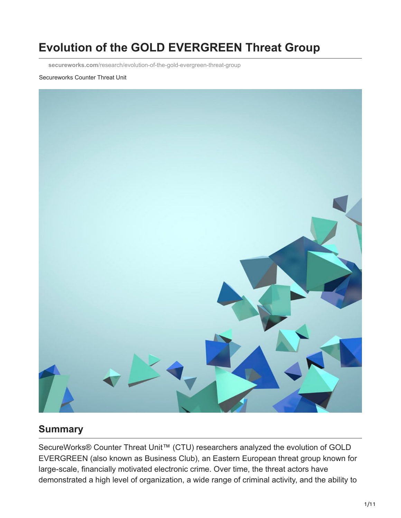# **Evolution of the GOLD EVERGREEN Threat Group**

**secureworks.com**[/research/evolution-of-the-gold-evergreen-threat-group](https://www.secureworks.com/research/evolution-of-the-gold-evergreen-threat-group)

#### Secureworks Counter Threat Unit



#### **Summary**

SecureWorks® Counter Threat Unit<sup>™</sup> (CTU) researchers analyzed the evolution of GOLD EVERGREEN (also known as Business Club), an Eastern European threat group known for large-scale, financially motivated electronic crime. Over time, the threat actors have demonstrated a high level of organization, a wide range of criminal activity, and the ability to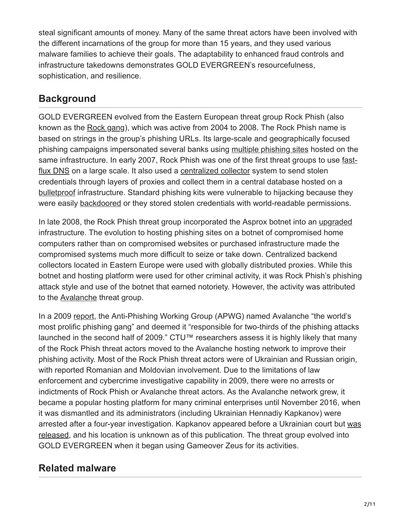steal significant amounts of money. Many of the same threat actors have been involved with the different incarnations of the group for more than 15 years, and they used various malware families to achieve their goals. The adaptability to enhanced fraud controls and infrastructure takedowns demonstrates GOLD EVERGREEN's resourcefulness, sophistication, and resilience.

## **Background**

GOLD EVERGREEN evolved from the Eastern European threat group Rock Phish (also known as the [Rock gang](http://www.bcs.org/content/ConWebDoc/16125)), which was active from 2004 to 2008. The Rock Phish name is based on strings in the group's phishing URLs. Its large-scale and geographically focused phishing campaigns impersonated several banks using [multiple phishing sites](http://www.baselinemag.com/c/a/Security/Inside-Rock-Phishing/1) hosted on the [same infrastructure. In early 2007, Rock Phish was one of the first threat groups to use fast](http://www.washingtonpost.com/wp-dyn/content/article/2007/10/04/AR2007100402024.html)flux DNS on a large scale. It also used a [centralized collector](http://www.h-online.com/security/features/Rock-Phishing-747346.html) system to send stolen credentials through layers of proxies and collect them in a central database hosted on a [bulletproof](https://www.quora.com/What-is-bulletproof-hosting) infrastructure. Standard phishing kits were vulnerable to hijacking because they were easily [backdoored](http://dl.ifip.org/db/conf/ifip11-9/df2011/McCalleyWW11.pdf) or they stored stolen credentials with world-readable permissions.

In late 2008, the Rock Phish threat group incorporated the Asprox botnet into an [upgraded](http://www.theregister.co.uk/2008/09/05/rock_phish_and_asprox_team_up/) infrastructure. The evolution to hosting phishing sites on a botnet of compromised home computers rather than on compromised websites or purchased infrastructure made the compromised systems much more difficult to seize or take down. Centralized backend collectors located in Eastern Europe were used with globally distributed proxies. While this botnet and hosting platform were used for other criminal activity, it was Rock Phish's phishing attack style and use of the botnet that earned notoriety. However, the activity was attributed to the [Avalanche](https://en.wikipedia.org/wiki/Avalanche_(phishing_group)) threat group.

In a 2009 [report,](http://docs.apwg.org/reports/APWG_GlobalPhishingSurvey_2H2009.pdf) the Anti-Phishing Working Group (APWG) named Avalanche "the world's most prolific phishing gang" and deemed it "responsible for two-thirds of the phishing attacks launched in the second half of 2009." CTU™ researchers assess it is highly likely that many of the Rock Phish threat actors moved to the Avalanche hosting network to improve their phishing activity. Most of the Rock Phish threat actors were of Ukrainian and Russian origin, with reported Romanian and Moldovian involvement. Due to the limitations of law enforcement and cybercrime investigative capability in 2009, there were no arrests or indictments of Rock Phish or Avalanche threat actors. As the Avalanche network grew, it became a popular hosting platform for many criminal enterprises until November 2016, when it was dismantled and its administrators (including Ukrainian Hennadiy Kapkanov) were [arrested after a four-year investigation. Kapkanov appeared before a Ukrainian court but was](https://www.bleepingcomputer.com/news/security/judge-releases-avalanche-network-leader-despite-police-shootout/) released, and his location is unknown as of this publication. The threat group evolved into GOLD EVERGREEN when it began using Gameover Zeus for its activities.

## **Related malware**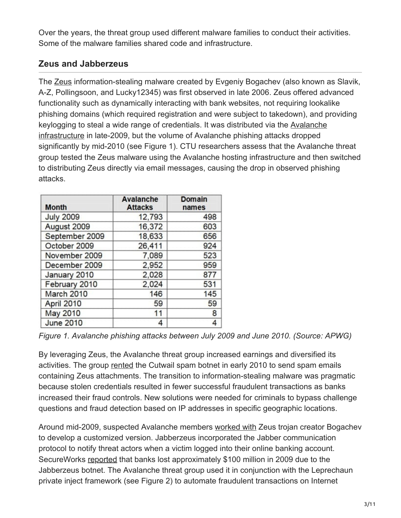Over the years, the threat group used different malware families to conduct their activities. Some of the malware families shared code and infrastructure.

## **Zeus and Jabberzeus**

The [Zeus](https://www.secureworks.com/research/zeus) information-stealing malware created by Evgeniy Bogachev (also known as Slavik, A-Z, Pollingsoon, and Lucky12345) was first observed in late 2006. Zeus offered advanced functionality such as dynamically interacting with bank websites, not requiring lookalike phishing domains (which required registration and were subject to takedown), and providing [keylogging to steal a wide range of credentials. It was distributed via the Avalanche](https://info.phishlabs.com/rock-moves-to-email-attachments) infrastructure in late-2009, but the volume of Avalanche phishing attacks dropped significantly by mid-2010 (see Figure 1). CTU researchers assess that the Avalanche threat group tested the Zeus malware using the Avalanche hosting infrastructure and then switched to distributing Zeus directly via email messages, causing the drop in observed phishing attacks.

| <b>Month</b>     | <b>Avalanche</b><br><b>Attacks</b> | <b>Domain</b><br>names |
|------------------|------------------------------------|------------------------|
| <b>July 2009</b> | 12,793                             | 498                    |
| August 2009      | 16,372                             | 603                    |
| September 2009   | 18,633                             | 656                    |
| October 2009     | 26,411                             | 924                    |
| November 2009    | 7,089                              | 523                    |
| December 2009    | 2,952                              | 959                    |
| January 2010     | 2,028                              | 877                    |
| February 2010    | 2,024                              | 531                    |
| March 2010       | 146                                | 145                    |
| April 2010       | 59                                 | 59                     |
| May 2010         | 11                                 | 8                      |
| <b>June 2010</b> | 4                                  | 4                      |

*Figure 1. Avalanche phishing attacks between July 2009 and June 2010. (Source: APWG)*

By leveraging Zeus, the Avalanche threat group increased earnings and diversified its activities. The group [rented](https://www.scmagazineuk.com/avalanche-botnet-moves-from-distributing-spam-to-zeus-lures/article/561212/) the Cutwail spam botnet in early 2010 to send spam emails containing Zeus attachments. The transition to information-stealing malware was pragmatic because stolen credentials resulted in fewer successful fraudulent transactions as banks increased their fraud controls. New solutions were needed for criminals to bypass challenge questions and fraud detection based on IP addresses in specific geographic locations.

Around mid-2009, suspected Avalanche members [worked with](https://krebsonsecurity.com/2015/02/fbi-3m-bounty-for-zeus-trojan-author/#more-30070) Zeus trojan creator Bogachev to develop a customized version. Jabberzeus incorporated the Jabber communication protocol to notify threat actors when a victim logged into their online banking account. SecureWorks [reported](http://www.bloomberg.com/news/features/2015-06-18/the-hunt-for-the-financial-industry-s-most-wanted-hacker) that banks lost approximately \$100 million in 2009 due to the Jabberzeus botnet. The Avalanche threat group used it in conjunction with the Leprechaun private inject framework (see Figure 2) to automate fraudulent transactions on Internet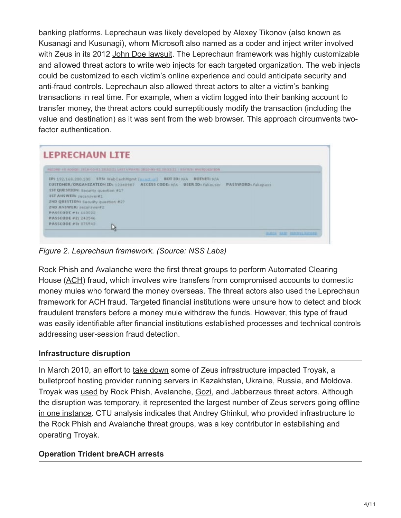banking platforms. Leprechaun was likely developed by Alexey Tikonov (also known as Kusanagi and Kusunagi), whom Microsoft also named as a coder and inject writer involved with Zeus in its 2012 [John Doe lawsuit](http://www.zeuslegalnotice.com/images/Debenham_Decl_Part_1.pdf). The Leprechaun framework was highly customizable and allowed threat actors to write web injects for each targeted organization. The web injects could be customized to each victim's online experience and could anticipate security and anti-fraud controls. Leprechaun also allowed threat actors to alter a victim's banking transactions in real time. For example, when a victim logged into their banking account to transfer money, the threat actors could surreptitiously modify the transaction (including the value and destination) as it was sent from the web browser. This approach circumvents twofactor authentication.

#### **LEPRECHAUN LITE** 05-02 28:52:21 LAST UPUATE: 2810-05-81 28:52:21 / BEATEN WATERCETTEN IP: 192.168.200.100 575: WebCarhMgmt (exactive) BOTID: N/A BOTNET: N/A CUSTOMER/ORGANIZATION ID: 12340967 ACCESS CODE: N/A USER ID: fakeuser PASSWORD: fakepess **1ST QUESTION:** Security question #17 **15T ANSWERI SECONDINER1** 2ND QUESTION: Security question #2? **2ND ANSWER: Jacansver#2 PASSEODE #1: 110022 PASSCODE #2: 242546 PASSCODE #3: 076543** ĿF. **PERDUE RECEA**

*Figure 2. Leprechaun framework. (Source: NSS Labs)*

Rock Phish and Avalanche were the first threat groups to perform Automated Clearing House ([ACH](http://www.csoonline.com/article/2125833/malware-cybercrime/ach-fraud--why-criminals-love-this-con.html)) fraud, which involves wire transfers from compromised accounts to domestic money mules who forward the money overseas. The threat actors also used the Leprechaun framework for ACH fraud. Targeted financial institutions were unsure how to detect and block fraudulent transfers before a money mule withdrew the funds. However, this type of fraud was easily identifiable after financial institutions established processes and technical controls addressing user-session fraud detection.

#### **Infrastructure disruption**

In March 2010, an effort to [take down](http://www.itworld.com/article/2762789/it-management/zeus-botnet-dealt-a-blow-as-isp-troyak-knocked-out.html) some of Zeus infrastructure impacted Troyak, a bulletproof hosting provider running servers in Kazakhstan, Ukraine, Russia, and Moldova. Troyak was [used](https://krebsonsecurity.com/2010/03/researchers-map-multi-network-cybercrime-infrastructure/) by Rock Phish, Avalanche, [Gozi](https://www.secureworks.com/research/gozi), and Jabberzeus threat actors. Although [the disruption was temporary, it represented the largest number of Zeus servers going offline](https://www.abuse.ch/?p=2417) in one instance. CTU analysis indicates that Andrey Ghinkul, who provided infrastructure to the Rock Phish and Avalanche threat groups, was a key contributor in establishing and operating Troyak.

#### **Operation Trident breACH arrests**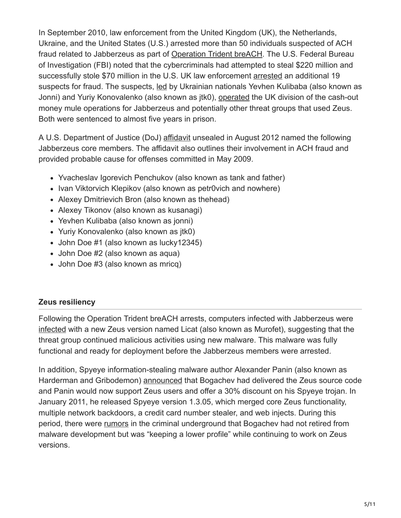In September 2010, law enforcement from the United Kingdom (UK), the Netherlands, Ukraine, and the United States (U.S.) arrested more than 50 individuals suspected of ACH fraud related to Jabberzeus as part of [Operation Trident breACH](http://www.cnn.com/2010/CRIME/10/01/cyber.theft/). The U.S. Federal Bureau of Investigation (FBI) noted that the cybercriminals had attempted to steal \$220 million and successfully stole \$70 million in the U.S. UK law enforcement [arrested](http://www.dailymail.co.uk/news/article-1316022/Nineteen-arrested-online-bank-raid-netted-20m.html) an additional 19 suspects for fraud. The suspects, [led](http://www.bbc.com/news/uk-england-london-15542016) by Ukrainian nationals Yevhen Kulibaba (also known as Jonni) and Yuriy Konovalenko (also known as jtk0), [operated](https://www.justice.gov/iso/opa/resources/5922014411104621620917.pdf) the UK division of the cash-out money mule operations for Jabberzeus and potentially other threat groups that used Zeus. Both were sentenced to almost five years in prison.

A U.S. Department of Justice (DoJ) [affidavit](https://www.justice.gov/iso/opa/resources/2162014411104532407242.pdf) unsealed in August 2012 named the following Jabberzeus core members. The affidavit also outlines their involvement in ACH fraud and provided probable cause for offenses committed in May 2009.

- Yvacheslav Igorevich Penchukov (also known as tank and father)
- Ivan Viktorvich Klepikov (also known as petr0vich and nowhere)
- Alexey Dmitrievich Bron (also known as thehead)
- Alexey Tikonov (also known as kusanagi)
- Yevhen Kulibaba (also known as jonni)
- Yuriy Konovalenko (also known as jtk0)
- John Doe #1 (also known as lucky12345)
- John Doe #2 (also known as aqua)
- John Doe #3 (also known as mricq)

#### **Zeus resiliency**

Following the Operation Trident breACH arrests, computers infected with Jabberzeus were [infected](http://www.darkreading.com/vulnerabilities---threats/emerging-murofet-botnet-poses-new-threat-researchers-say/d/d-id/1134733?) with a new Zeus version named Licat (also known as Murofet), suggesting that the threat group continued malicious activities using new malware. This malware was fully functional and ready for deployment before the Jabberzeus members were arrested.

In addition, Spyeye information-stealing malware author Alexander Panin (also known as Harderman and Gribodemon) [announced](https://krebsonsecurity.com/2010/10/spyeye-v-zeus-rivalry-ends-in-quiet-merger/) that Bogachev had delivered the Zeus source code and Panin would now support Zeus users and offer a 30% discount on his Spyeye trojan. In January 2011, he released Spyeye version 1.3.05, which merged core Zeus functionality, multiple network backdoors, a credit card number stealer, and web injects. During this period, there were [rumors](http://www.theregister.co.uk/2011/01/25/spyeye_zeus_merger/) in the criminal underground that Bogachev had not retired from malware development but was "keeping a lower profile" while continuing to work on Zeus versions.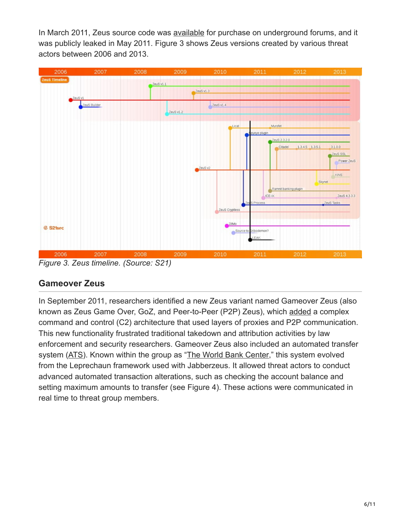In March 2011, Zeus source code was [available](http://www.theregister.co.uk/2011/03/23/zeus_source_code_sale/) for purchase on underground forums, and it was publicly leaked in May 2011. Figure 3 shows Zeus versions created by various threat actors between 2006 and 2013.



*Figure 3. Zeus timeline. (Source: S21)*

## **Gameover Zeus**

In September 2011, researchers identified a new Zeus variant named Gameover Zeus (also known as Zeus Game Over, GoZ, and Peer-to-Peer (P2P) Zeus), which [added](http://www.syssec-project.eu/m/page-media/3/zeus_malware13.pdf) a complex command and control (C2) architecture that used layers of proxies and P2P communication. This new functionality frustrated traditional takedown and attribution activities by law enforcement and security researchers. Gameover Zeus also included an automated transfer system [\(ATS\)](http://blog.mindedsecurity.com/2012/09/zeus-gameover-overview.html). Known within the group as "[The World Bank Center,](http://www.theregister.co.uk/2015/08/06/100m_business_gang_foxit_report/)" this system evolved from the Leprechaun framework used with Jabberzeus. It allowed threat actors to conduct advanced automated transaction alterations, such as checking the account balance and setting maximum amounts to transfer (see Figure 4). These actions were communicated in real time to threat group members.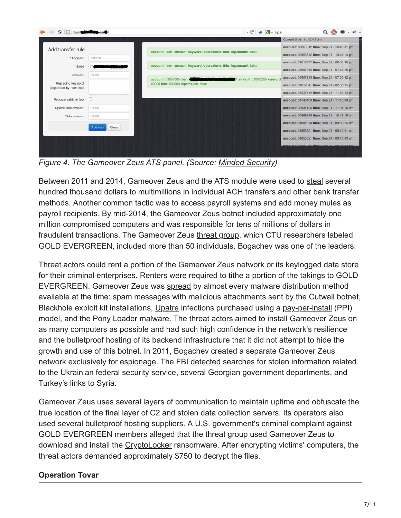|                                              |        |                                                                                                                                                        | Current time: 11:43:49 pm                    |
|----------------------------------------------|--------|--------------------------------------------------------------------------------------------------------------------------------------------------------|----------------------------------------------|
| Add transfer rule                            |        |                                                                                                                                                        | account: 00863512 time: Sep 21 - 10:48:31 pm |
| *Account                                     | 701310 | account: Iban: amount: keyword: operazione: fido: topamount: false.                                                                                    | account: 00863512 time: Sep 21 - 10:46:14 pm |
|                                              |        | account: Iban: amount: keyword: operazione: fido: topamount: false                                                                                     | account: 01016377 time: Sep 21 - 08:00:36 pm |
| *IBAN                                        |        |                                                                                                                                                        | account: 01587915 time: Sep 21 - 07:48:25 pm |
| Amount                                       | 10500  | account: 01057805 Iban:<br>1 amount: 30005250 keyword<br><b>The Committee of the Committee of the Committee</b><br>80000 fido: 800000 topamount: false | account: 01587915 time: Sep 21 - 07:33:52 pm |
| Replacing keyword<br>(separated by new line) |        |                                                                                                                                                        | account: 01012641 time: Sep 21 - 02:38:25 pm |
|                                              |        |                                                                                                                                                        | account: 04537119 time: Sep 21 - 11:56:43 am |
| Replace saldo in top                         |        |                                                                                                                                                        | account: 01146409 time: Sep 21 - 11:43:09 am |
| Operazione amount                            | 10500  |                                                                                                                                                        | account: 02031106 time: Sep 21 - 11:01:16 am |
| Fido amount                                  | 10500  |                                                                                                                                                        | account: 00969245 time: Sep 21 - 10:46:18 am |
| Clear<br>Add rule                            |        | account: 01081678 time: Sep 21 - 09:39:15 am                                                                                                           |                                              |
|                                              |        | account: 01850321 time: Sep 21 - 08:12:01 am                                                                                                           |                                              |
|                                              |        | account: 01850321 time: Sep 21 - 08:10:43 am                                                                                                           |                                              |
|                                              |        |                                                                                                                                                        | L. OSCOTOSE Here: Car 00, 08-08-22           |

*Figure 4. The Gameover Zeus ATS panel. (Source: [Minded Security](http://blog.mindedsecurity.com/2012/09/zeus-gameover-overview.html))*

Between 2011 and 2014, Gameover Zeus and the ATS module were used to [steal](http://www.usatoday.com/story/news/nation/2014/06/03/fbi-busts-russian-hacked-created-zeus-cryptolocker/9919985/) several hundred thousand dollars to multimillions in individual ACH transfers and other bank transfer methods. Another common tactic was to access payroll systems and add money mules as payroll recipients. By mid-2014, the Gameover Zeus botnet included approximately one million compromised computers and was responsible for tens of millions of dollars in fraudulent transactions. The Gameover Zeus [threat group](http://www.securityweek.com/gameover-zeus-gang-leader-engaged-espionage-researchers), which CTU researchers labeled GOLD EVERGREEN, included more than 50 individuals. Bogachev was one of the leaders.

Threat actors could rent a portion of the Gameover Zeus network or its keylogged data store for their criminal enterprises. Renters were required to tithe a portion of the takings to GOLD EVERGREEN. Gameover Zeus was [spread](https://www.secureworks.com/research/the_lifecycle_of_peer_to_peer_gameover_zeus) by almost every malware distribution method available at the time: spam messages with malicious attachments sent by the Cutwail botnet, Blackhole exploit kit installations, [Upatre](https://www.secureworks.com/research/analyzing-upatre-downloader) infections purchased using a [pay-per-install](https://www.secureworks.com/research/ppi) (PPI) model, and the Pony Loader malware. The threat actors aimed to install Gameover Zeus on as many computers as possible and had such high confidence in the network's resilience and the bulletproof hosting of its backend infrastructure that it did not attempt to hide the growth and use of this botnet. In 2011, Bogachev created a separate Gameover Zeus network exclusively for [espionage](https://www.blackhat.com/docs/us-15/materials/us-15-Peterson-GameOver-Zeus-Badguys-And-Backends.pdf). The FBI [detected](http://www.forbes.com/sites/thomasbrewster/2015/08/05/gameover-zeus-surveillance-links/#15d9f0e34a29) searches for stolen information related to the Ukrainian federal security service, several Georgian government departments, and Turkey's links to Syria.

Gameover Zeus uses several layers of communication to maintain uptime and obfuscate the true location of the final layer of C2 and stolen data collection servers. Its operators also used several bulletproof hosting suppliers. A U.S. government's criminal [complaint](https://www.justice.gov/sites/default/files/opa/legacy/2014/05/30/complaint.pdf) against GOLD EVERGREEN members alleged that the threat group used Gameover Zeus to download and install the [CryptoLocker](https://www.secureworks.com/research/cryptolocker-ransomware) ransomware. After encrypting victims' computers, the threat actors demanded approximately \$750 to decrypt the files.

#### **Operation Tovar**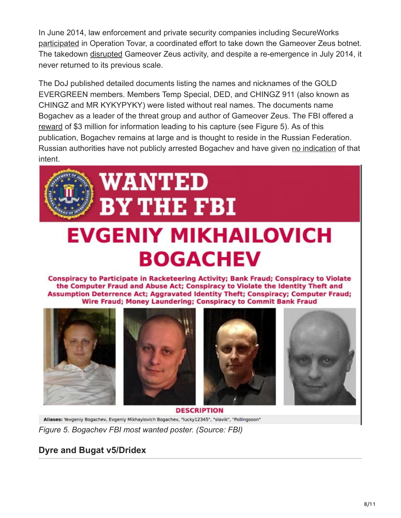In June 2014, law enforcement and private security companies including SecureWorks [participated](https://www.secureworks.com/blog/operation-tovar-dell-secureworks-contributes-to-efforts-targeting-gameover-zeus-and-cryptolocker) in Operation Tovar, a coordinated effort to take down the Gameover Zeus botnet. The takedown [disrupted](http://www.scmagazineuk.com/operation-tovar-targets-major-zeuscryptolocker-botnet-driven-campaign/article/349717/) Gameover Zeus activity, and despite a re-emergence in July 2014, it never returned to its previous scale.

The DoJ published detailed documents listing the names and nicknames of the GOLD EVERGREEN members. Members Temp Special, DED, and CHINGZ 911 (also known as CHINGZ and MR KYKYPYKY) were listed without real names. The documents name Bogachev as a leader of the threat group and author of Gameover Zeus. The FBI offered a [reward](https://www.fbi.gov/wanted/cyber/evgeniy-mikhailovich-bogachev) of \$3 million for information leading to his capture (see Figure 5). As of this publication, Bogachev remains at large and is thought to reside in the Russian Federation. Russian authorities have not publicly arrested Bogachev and have given [no indication](https://www.nytimes.com/2017/03/12/world/europe/russia-hacker-evgeniy-bogachev.html) of that intent.



# **EVGENIY MIKHAILOVICH BOGACHEV**

Conspiracy to Participate in Racketeering Activity; Bank Fraud; Conspiracy to Violate the Computer Fraud and Abuse Act; Conspiracy to Violate the Identity Theft and Assumption Deterrence Act; Aggravated Identity Theft; Conspiracy; Computer Fraud; Wire Fraud; Money Laundering; Conspiracy to Commit Bank Fraud



**DESCRIPTION** Allases: Yevgeniy Bogachev, Evgeniy Mikhaylovich Bogachev, "lucky12345", "slavik", "Pollingsoon" *Figure 5. Bogachev FBI most wanted poster. (Source: FBI)*

## **Dyre and Bugat v5/Dridex**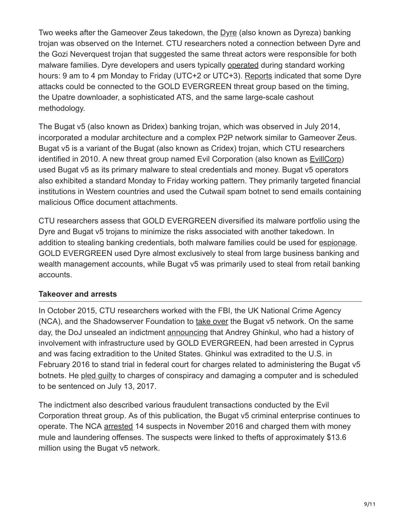Two weeks after the Gameover Zeus takedown, the  $D$ <sub>Yre</sub> (also known as Dyreza) banking trojan was observed on the Internet. CTU researchers noted a connection between Dyre and the Gozi Neverquest trojan that suggested the same threat actors were responsible for both malware families. Dyre developers and users typically [operated](http://www.symantec.com/content/en/us/enterprise/media/security_response/whitepapers/dyre-emerging-threat.pdf) during standard working hours: 9 am to 4 pm Monday to Friday (UTC+2 or UTC+3). [Reports](https://info.phishlabs.com/blog/%E2%80%9Csmash-grab%E2%80%9D-cybercrime-attacks-have-been-active-since-mid-june) indicated that some Dyre attacks could be connected to the GOLD EVERGREEN threat group based on the timing, the Upatre downloader, a sophisticated ATS, and the same large-scale cashout methodology.

The Bugat v5 (also known as Dridex) banking trojan, which was observed in July 2014, incorporated a modular architecture and a complex P2P network similar to Gameover Zeus. Bugat v5 is a variant of the Bugat (also known as Cridex) trojan, which CTU researchers identified in 2010. A new threat group named Evil Corporation (also known as [EvillCorp](http://www.zdnet.com/article/fbi-and-uk-cops-smash-dridex-a-high-stakes-bank-raiding-botnet/)) used Bugat v5 as its primary malware to steal credentials and money. Bugat v5 operators also exhibited a standard Monday to Friday working pattern. They primarily targeted financial institutions in Western countries and used the Cutwail spam botnet to send emails containing malicious Office document attachments.

CTU researchers assess that GOLD EVERGREEN diversified its malware portfolio using the Dyre and Bugat v5 trojans to minimize the risks associated with another takedown. In addition to stealing banking credentials, both malware families could be used for [espionage.](http://arstechnica.com/security/2014/09/dyre-malware-branches-out-from-banking-adds-corporate-espionage/) GOLD EVERGREEN used Dyre almost exclusively to steal from large business banking and wealth management accounts, while Bugat v5 was primarily used to steal from retail banking accounts.

#### **Takeover and arrests**

In October 2015, CTU researchers worked with the FBI, the UK National Crime Agency (NCA), and the Shadowserver Foundation to [take over](https://www.secureworks.com/research/dridex-bugat-v5-botnet-takeover-operation) the Bugat v5 network. On the same day, the DoJ unsealed an indictment [announcing](https://www.justice.gov/opa/pr/bugat-botnet-administrator-arrested-and-malware-disabled) that Andrey Ghinkul, who had a history of involvement with infrastructure used by GOLD EVERGREEN, had been arrested in Cyprus and was facing extradition to the United States. Ghinkul was extradited to the U.S. in February 2016 to stand trial in federal court for charges related to administering the Bugat v5 botnets. He [pled guilty](http://triblive.com/local/allegheny/11915989-74/bank-district-account) to charges of conspiracy and damaging a computer and is scheduled to be sentenced on July 13, 2017.

The indictment also described various fraudulent transactions conducted by the Evil Corporation threat group. As of this publication, the Bugat v5 criminal enterprise continues to operate. The NCA [arrested](http://www.nationalcrimeagency.gov.uk/news/948-nca-targets-international-cyber-crime-network) 14 suspects in November 2016 and charged them with money mule and laundering offenses. The suspects were linked to thefts of approximately \$13.6 million using the Bugat v5 network.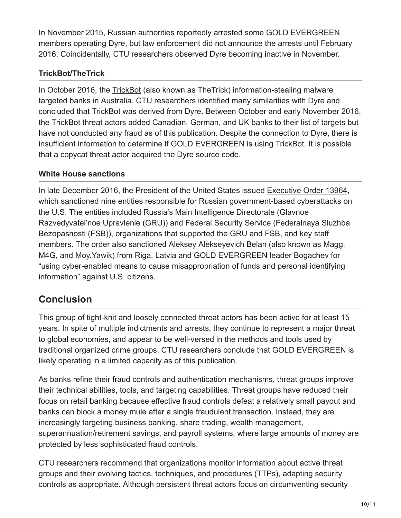In November 2015, Russian authorities [reportedly](http://www.theregister.co.uk/2016/02/10/moscow_raids_could_signal_end_of_global_dyre_bank_trojan_menace/) arrested some GOLD EVERGREEN members operating Dyre, but law enforcement did not announce the arrests until February 2016. Coincidentally, CTU researchers observed Dyre becoming inactive in November.

#### **TrickBot/TheTrick**

In October 2016, the [TrickBot](http://www.threatgeek.com/2016/10/trickbot-the-dyre-connection.html) (also known as TheTrick) information-stealing malware targeted banks in Australia. CTU researchers identified many similarities with Dyre and concluded that TrickBot was derived from Dyre. Between October and early November 2016, the TrickBot threat actors added Canadian, German, and UK banks to their list of targets but have not conducted any fraud as of this publication. Despite the connection to Dyre, there is insufficient information to determine if GOLD EVERGREEN is using TrickBot. It is possible that a copycat threat actor acquired the Dyre source code.

#### **White House sanctions**

In late December 2016, the President of the United States issued [Executive Order 13964](https://www.whitehouse.gov/the-press-office/2016/12/29/fact-sheet-actions-response-russian-malicious-cyber-activity-and), which sanctioned nine entities responsible for Russian government-based cyberattacks on the U.S. The entities included Russia's Main Intelligence Directorate (Glavnoe Razvedyvatel'noe Upravlenie (GRU)) and Federal Security Service (Federalnaya Sluzhba Bezopasnosti (FSB)), organizations that supported the GRU and FSB, and key staff members. The order also sanctioned Aleksey Alekseyevich Belan (also known as Magg, M4G, and Moy.Yawik) from Riga, Latvia and GOLD EVERGREEN leader Bogachev for "using cyber-enabled means to cause misappropriation of funds and personal identifying information" against U.S. citizens.

## **Conclusion**

This group of tight-knit and loosely connected threat actors has been active for at least 15 years. In spite of multiple indictments and arrests, they continue to represent a major threat to global economies, and appear to be well-versed in the methods and tools used by traditional organized crime groups. CTU researchers conclude that GOLD EVERGREEN is likely operating in a limited capacity as of this publication.

As banks refine their fraud controls and authentication mechanisms, threat groups improve their technical abilities, tools, and targeting capabilities. Threat groups have reduced their focus on retail banking because effective fraud controls defeat a relatively small payout and banks can block a money mule after a single fraudulent transaction. Instead, they are increasingly targeting business banking, share trading, wealth management, superannuation/retirement savings, and payroll systems, where large amounts of money are protected by less sophisticated fraud controls.

CTU researchers recommend that organizations monitor information about active threat groups and their evolving tactics, techniques, and procedures (TTPs), adapting security controls as appropriate. Although persistent threat actors focus on circumventing security